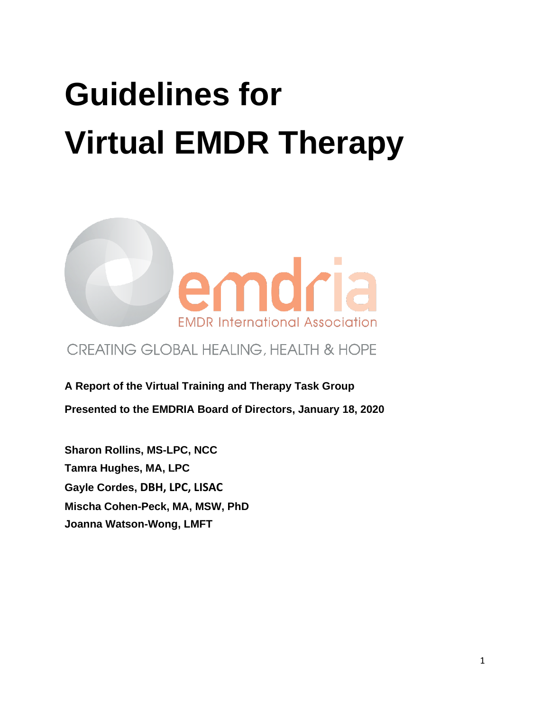# **Guidelines for Virtual EMDR Therapy**



# CREATING GLOBAL HEALING, HEALTH & HOPE

**A Report of the Virtual Training and Therapy Task Group**

**Presented to the EMDRIA Board of Directors, January 18, 2020**

**Sharon Rollins, MS-LPC, NCC Tamra Hughes, MA, LPC Gayle Cordes, DBH, LPC, LISAC Mischa Cohen-Peck, MA, MSW, PhD Joanna Watson-Wong, LMFT**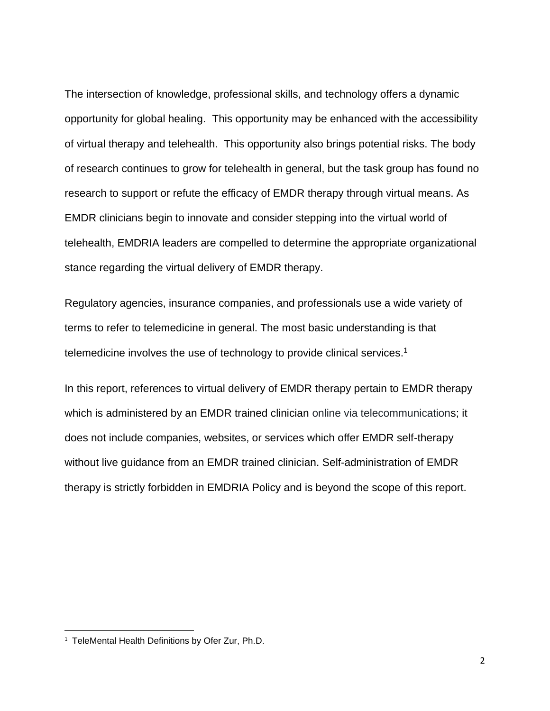The intersection of knowledge, professional skills, and technology offers a dynamic opportunity for global healing. This opportunity may be enhanced with the accessibility of virtual therapy and telehealth. This opportunity also brings potential risks. The body of research continues to grow for telehealth in general, but the task group has found no research to support or refute the efficacy of EMDR therapy through virtual means. As EMDR clinicians begin to innovate and consider stepping into the virtual world of telehealth, EMDRIA leaders are compelled to determine the appropriate organizational stance regarding the virtual delivery of EMDR therapy.

Regulatory agencies, insurance companies, and professionals use a wide variety of terms to refer to telemedicine in general. The most basic understanding is that telemedicine involves the use of technology to provide clinical services.<sup>1</sup>

In this report, references to virtual delivery of EMDR therapy pertain to EMDR therapy which is administered by an EMDR trained clinician online via telecommunications; it does not include companies, websites, or services which offer EMDR self-therapy without live guidance from an EMDR trained clinician. Self-administration of EMDR therapy is strictly forbidden in EMDRIA Policy and is beyond the scope of this report.

<sup>&</sup>lt;sup>1</sup> TeleMental Health Definitions by Ofer Zur, Ph.D.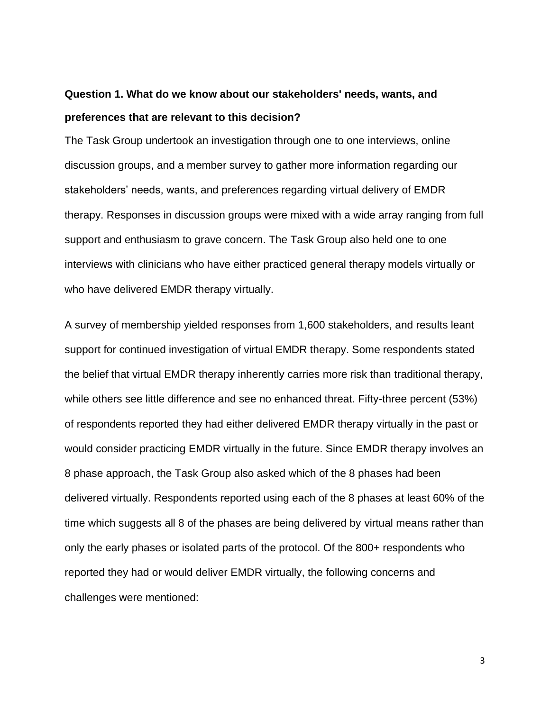# **Question 1. What do we know about our stakeholders' needs, wants, and preferences that are relevant to this decision?**

The Task Group undertook an investigation through one to one interviews, online discussion groups, and a member survey to gather more information regarding our stakeholders' needs, wants, and preferences regarding virtual delivery of EMDR therapy. Responses in discussion groups were mixed with a wide array ranging from full support and enthusiasm to grave concern. The Task Group also held one to one interviews with clinicians who have either practiced general therapy models virtually or who have delivered EMDR therapy virtually.

A survey of membership yielded responses from 1,600 stakeholders, and results leant support for continued investigation of virtual EMDR therapy. Some respondents stated the belief that virtual EMDR therapy inherently carries more risk than traditional therapy, while others see little difference and see no enhanced threat. Fifty-three percent (53%) of respondents reported they had either delivered EMDR therapy virtually in the past or would consider practicing EMDR virtually in the future. Since EMDR therapy involves an 8 phase approach, the Task Group also asked which of the 8 phases had been delivered virtually. Respondents reported using each of the 8 phases at least 60% of the time which suggests all 8 of the phases are being delivered by virtual means rather than only the early phases or isolated parts of the protocol. Of the 800+ respondents who reported they had or would deliver EMDR virtually, the following concerns and challenges were mentioned:

3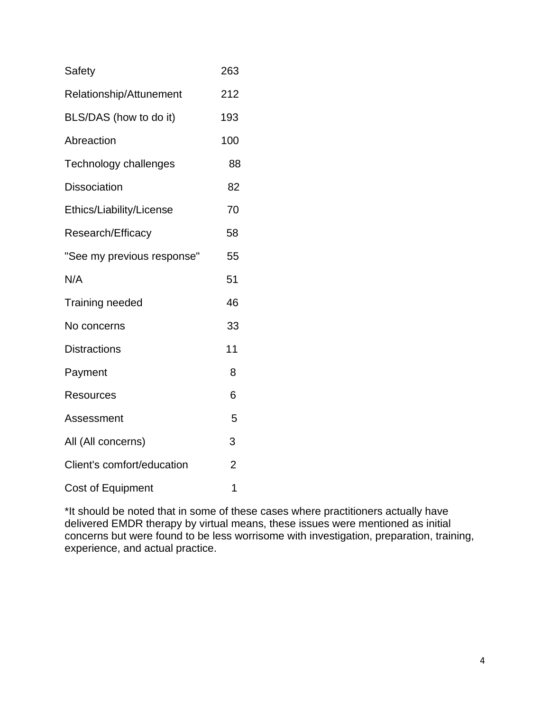| Safety                     | 263            |
|----------------------------|----------------|
| Relationship/Attunement    | 212            |
| BLS/DAS (how to do it)     | 193            |
| Abreaction                 | 100            |
| Technology challenges      | 88             |
| <b>Dissociation</b>        | 82             |
| Ethics/Liability/License   | 70             |
| Research/Efficacy          | 58             |
| "See my previous response" | 55             |
| N/A                        | 51             |
| Training needed            | 46             |
| No concerns                | 33             |
| <b>Distractions</b>        | 11             |
| Payment                    | 8              |
| <b>Resources</b>           | 6              |
| Assessment                 | 5              |
| All (All concerns)         | 3              |
| Client's comfort/education | $\overline{2}$ |
| <b>Cost of Equipment</b>   | 1              |

\*It should be noted that in some of these cases where practitioners actually have delivered EMDR therapy by virtual means, these issues were mentioned as initial concerns but were found to be less worrisome with investigation, preparation, training, experience, and actual practice.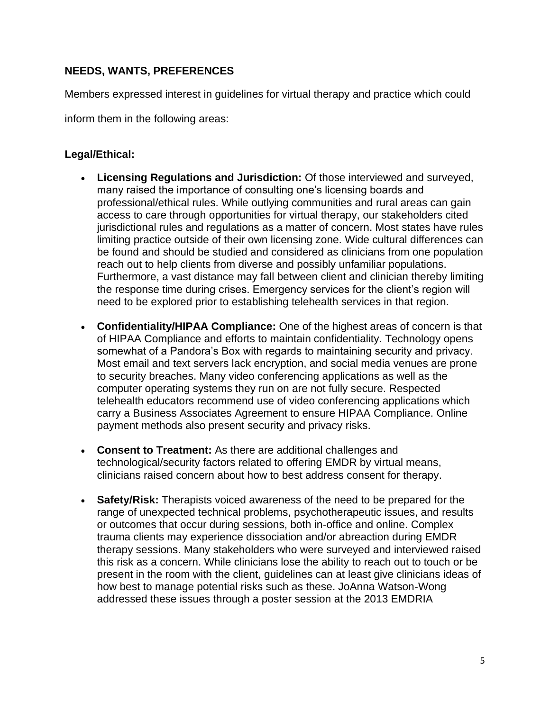# **NEEDS, WANTS, PREFERENCES**

Members expressed interest in guidelines for virtual therapy and practice which could

inform them in the following areas:

#### **Legal/Ethical:**

- **Licensing Regulations and Jurisdiction:** Of those interviewed and surveyed, many raised the importance of consulting one's licensing boards and professional/ethical rules. While outlying communities and rural areas can gain access to care through opportunities for virtual therapy, our stakeholders cited jurisdictional rules and regulations as a matter of concern. Most states have rules limiting practice outside of their own licensing zone. Wide cultural differences can be found and should be studied and considered as clinicians from one population reach out to help clients from diverse and possibly unfamiliar populations. Furthermore, a vast distance may fall between client and clinician thereby limiting the response time during crises. Emergency services for the client's region will need to be explored prior to establishing telehealth services in that region.
- **Confidentiality/HIPAA Compliance:** One of the highest areas of concern is that of HIPAA Compliance and efforts to maintain confidentiality. Technology opens somewhat of a Pandora's Box with regards to maintaining security and privacy. Most email and text servers lack encryption, and social media venues are prone to security breaches. Many video conferencing applications as well as the computer operating systems they run on are not fully secure. Respected telehealth educators recommend use of video conferencing applications which carry a Business Associates Agreement to ensure HIPAA Compliance. Online payment methods also present security and privacy risks.
- **Consent to Treatment:** As there are additional challenges and technological/security factors related to offering EMDR by virtual means, clinicians raised concern about how to best address consent for therapy.
- **Safety/Risk:** Therapists voiced awareness of the need to be prepared for the range of unexpected technical problems, psychotherapeutic issues, and results or outcomes that occur during sessions, both in-office and online. Complex trauma clients may experience dissociation and/or abreaction during EMDR therapy sessions. Many stakeholders who were surveyed and interviewed raised this risk as a concern. While clinicians lose the ability to reach out to touch or be present in the room with the client, guidelines can at least give clinicians ideas of how best to manage potential risks such as these. JoAnna Watson-Wong addressed these issues through a poster session at the 2013 EMDRIA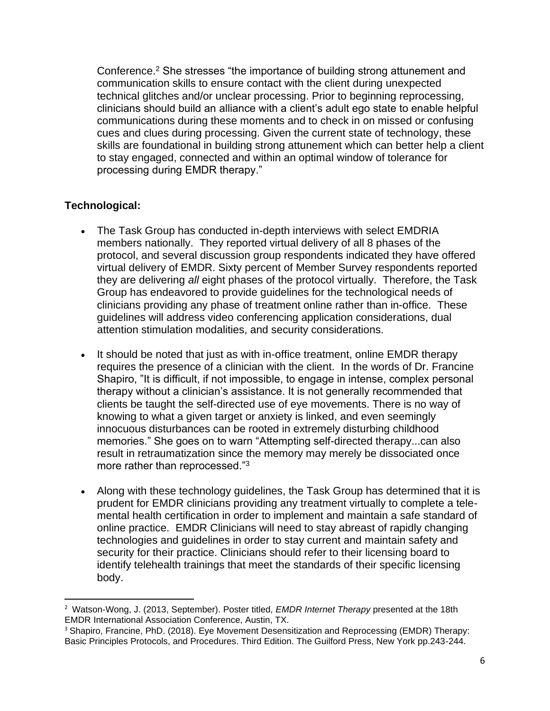Conference.<sup>2</sup> She stresses "the importance of building strong attunement and communication skills to ensure contact with the client during unexpected technical glitches and/or unclear processing. Prior to beginning reprocessing, clinicians should build an alliance with a client's adult ego state to enable helpful communications during these moments and to check in on missed or confusing cues and clues during processing. Given the current state of technology, these skills are foundational in building strong attunement which can better help a client to stay engaged, connected and within an optimal window of tolerance for processing during EMDR therapy."

# **Technological:**

- The Task Group has conducted in-depth interviews with select EMDRIA members nationally. They reported virtual delivery of all 8 phases of the protocol, and several discussion group respondents indicated they have offered virtual delivery of EMDR. Sixty percent of Member Survey respondents reported they are delivering *all* eight phases of the protocol virtually. Therefore, the Task Group has endeavored to provide guidelines for the technological needs of clinicians providing any phase of treatment online rather than in-office. These guidelines will address video conferencing application considerations, dual attention stimulation modalities, and security considerations.
- It should be noted that just as with in-office treatment, online EMDR therapy requires the presence of a clinician with the client. In the words of Dr. Francine Shapiro, "It is difficult, if not impossible, to engage in intense, complex personal therapy without a clinician's assistance. It is not generally recommended that clients be taught the self-directed use of eye movements. There is no way of knowing to what a given target or anxiety is linked, and even seemingly innocuous disturbances can be rooted in extremely disturbing childhood memories." She goes on to warn "Attempting self-directed therapy...can also result in retraumatization since the memory may merely be dissociated once more rather than reprocessed."<sup>3</sup>
- Along with these technology guidelines, the Task Group has determined that it is prudent for EMDR clinicians providing any treatment virtually to complete a telemental health certification in order to implement and maintain a safe standard of online practice. EMDR Clinicians will need to stay abreast of rapidly changing technologies and guidelines in order to stay current and maintain safety and security for their practice. Clinicians should refer to their licensing board to identify telehealth trainings that meet the standards of their specific licensing body.

<sup>2</sup> Watson-Wong, J. (2013, September). Poster titled, *EMDR Internet Therapy* presented at the 18th EMDR International Association Conference, Austin, TX.

<sup>&</sup>lt;sup>3</sup> Shapiro, Francine, PhD. (2018). Eye Movement Desensitization and Reprocessing (EMDR) Therapy: Basic Principles Protocols, and Procedures. Third Edition. The Guilford Press, New York pp.243-244.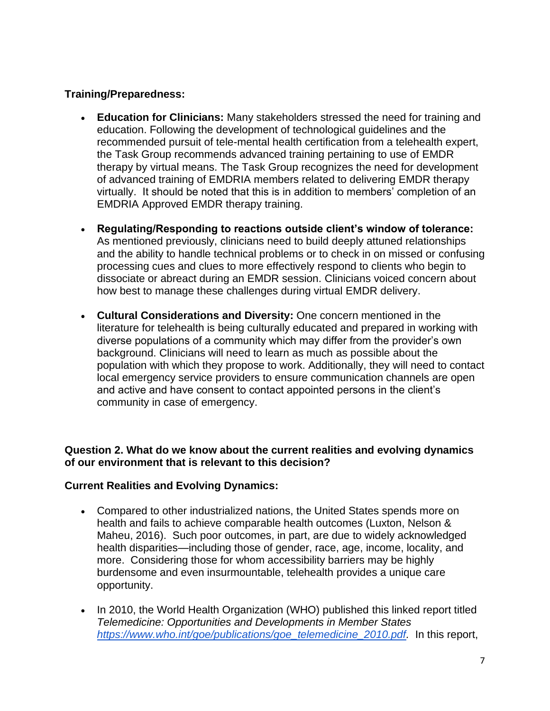#### **Training/Preparedness:**

- **Education for Clinicians:** Many stakeholders stressed the need for training and education. Following the development of technological guidelines and the recommended pursuit of tele-mental health certification from a telehealth expert, the Task Group recommends advanced training pertaining to use of EMDR therapy by virtual means. The Task Group recognizes the need for development of advanced training of EMDRIA members related to delivering EMDR therapy virtually. It should be noted that this is in addition to members' completion of an EMDRIA Approved EMDR therapy training.
- **Regulating/Responding to reactions outside client's window of tolerance:** As mentioned previously, clinicians need to build deeply attuned relationships and the ability to handle technical problems or to check in on missed or confusing processing cues and clues to more effectively respond to clients who begin to dissociate or abreact during an EMDR session. Clinicians voiced concern about how best to manage these challenges during virtual EMDR delivery.
- **Cultural Considerations and Diversity:** One concern mentioned in the literature for telehealth is being culturally educated and prepared in working with diverse populations of a community which may differ from the provider's own background. Clinicians will need to learn as much as possible about the population with which they propose to work. Additionally, they will need to contact local emergency service providers to ensure communication channels are open and active and have consent to contact appointed persons in the client's community in case of emergency.

# **Question 2. What do we know about the current realities and evolving dynamics of our environment that is relevant to this decision?**

# **Current Realities and Evolving Dynamics:**

- Compared to other industrialized nations, the United States spends more on health and fails to achieve comparable health outcomes (Luxton, Nelson & Maheu, 2016). Such poor outcomes, in part, are due to widely acknowledged health disparities—including those of gender, race, age, income, locality, and more. Considering those for whom accessibility barriers may be highly burdensome and even insurmountable, telehealth provides a unique care opportunity.
- In 2010, the World Health Organization (WHO) published this linked report titled *Telemedicine: Opportunities and Developments in Member States [https://www.who.int/goe/publications/goe\\_telemedicine\\_2010.pdf.](https://www.who.int/goe/publications/goe_telemedicine_2010.pdf)* In this report,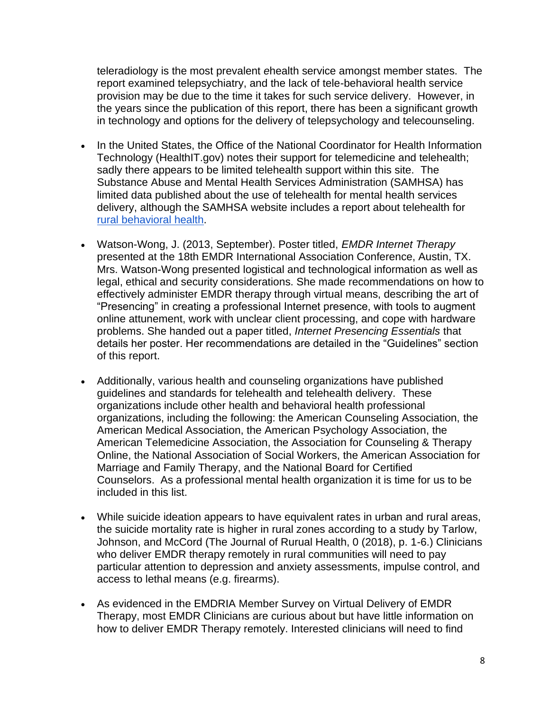teleradiology is the most prevalent *e*health service amongst member states. The report examined telepsychiatry, and the lack of tele-behavioral health service provision may be due to the time it takes for such service delivery. However, in the years since the publication of this report, there has been a significant growth in technology and options for the delivery of telepsychology and telecounseling.

- In the United States, the Office of the National Coordinator for Health Information Technology (HealthIT.gov) notes their support for telemedicine and telehealth; sadly there appears to be limited telehealth support within this site. The Substance Abuse and Mental Health Services Administration (SAMHSA) has limited data published about the use of telehealth for mental health services delivery, although the SAMHSA website includes a report about telehealth fo[r](https://store.samhsa.gov/product/In-Brief-Rural-Behavioral-Health-Telehealth-Challenges-and-Opportunities/SMA16-4989) [rural behavioral health.](https://store.samhsa.gov/product/In-Brief-Rural-Behavioral-Health-Telehealth-Challenges-and-Opportunities/SMA16-4989)
- Watson-Wong, J. (2013, September). Poster titled, *EMDR Internet Therapy* presented at the 18th EMDR International Association Conference, Austin, TX. Mrs. Watson-Wong presented logistical and technological information as well as legal, ethical and security considerations. She made recommendations on how to effectively administer EMDR therapy through virtual means, describing the art of "Presencing" in creating a professional Internet presence, with tools to augment online attunement, work with unclear client processing, and cope with hardware problems. She handed out a paper titled, *Internet Presencing Essentials* that details her poster. Her recommendations are detailed in the "Guidelines" section of this report.
- Additionally, various health and counseling organizations have published guidelines and standards for telehealth and telehealth delivery. These organizations include other health and behavioral health professional organizations, including the following: the American Counseling Association, the American Medical Association, the American Psychology Association, the American Telemedicine Association, the Association for Counseling & Therapy Online, the National Association of Social Workers, the American Association for Marriage and Family Therapy, and the National Board for Certified Counselors. As a professional mental health organization it is time for us to be included in this list.
- While suicide ideation appears to have equivalent rates in urban and rural areas, the suicide mortality rate is higher in rural zones according to a study by Tarlow, Johnson, and McCord (The Journal of Rurual Health, 0 (2018), p. 1-6.) Clinicians who deliver EMDR therapy remotely in rural communities will need to pay particular attention to depression and anxiety assessments, impulse control, and access to lethal means (e.g. firearms).
- As evidenced in the EMDRIA Member Survey on Virtual Delivery of EMDR Therapy, most EMDR Clinicians are curious about but have little information on how to deliver EMDR Therapy remotely. Interested clinicians will need to find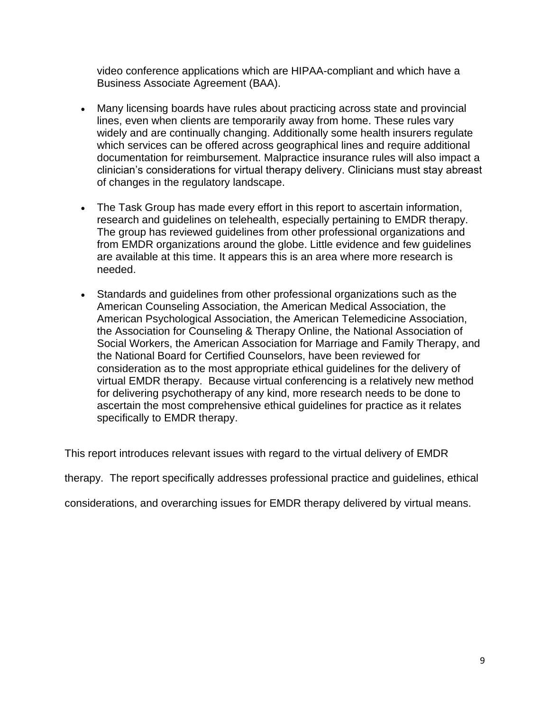video conference applications which are HIPAA-compliant and which have a Business Associate Agreement (BAA).

- Many licensing boards have rules about practicing across state and provincial lines, even when clients are temporarily away from home. These rules vary widely and are continually changing. Additionally some health insurers regulate which services can be offered across geographical lines and require additional documentation for reimbursement. Malpractice insurance rules will also impact a clinician's considerations for virtual therapy delivery. Clinicians must stay abreast of changes in the regulatory landscape.
- The Task Group has made every effort in this report to ascertain information, research and guidelines on telehealth, especially pertaining to EMDR therapy. The group has reviewed guidelines from other professional organizations and from EMDR organizations around the globe. Little evidence and few guidelines are available at this time. It appears this is an area where more research is needed.
- Standards and guidelines from other professional organizations such as the American Counseling Association, the American Medical Association, the American Psychological Association, the American Telemedicine Association, the Association for Counseling & Therapy Online, the National Association of Social Workers, the American Association for Marriage and Family Therapy, and the National Board for Certified Counselors, have been reviewed for consideration as to the most appropriate ethical guidelines for the delivery of virtual EMDR therapy. Because virtual conferencing is a relatively new method for delivering psychotherapy of any kind, more research needs to be done to ascertain the most comprehensive ethical guidelines for practice as it relates specifically to EMDR therapy.

This report introduces relevant issues with regard to the virtual delivery of EMDR

therapy. The report specifically addresses professional practice and guidelines, ethical

considerations, and overarching issues for EMDR therapy delivered by virtual means.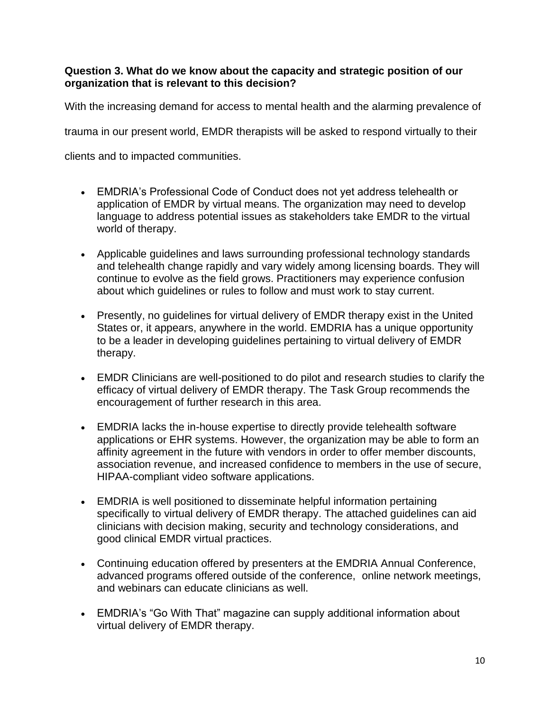#### **Question 3. What do we know about the capacity and strategic position of our organization that is relevant to this decision?**

With the increasing demand for access to mental health and the alarming prevalence of

trauma in our present world, EMDR therapists will be asked to respond virtually to their

clients and to impacted communities.

- EMDRIA's Professional Code of Conduct does not yet address telehealth or application of EMDR by virtual means. The organization may need to develop language to address potential issues as stakeholders take EMDR to the virtual world of therapy.
- Applicable guidelines and laws surrounding professional technology standards and telehealth change rapidly and vary widely among licensing boards. They will continue to evolve as the field grows. Practitioners may experience confusion about which guidelines or rules to follow and must work to stay current.
- Presently, no guidelines for virtual delivery of EMDR therapy exist in the United States or, it appears, anywhere in the world. EMDRIA has a unique opportunity to be a leader in developing guidelines pertaining to virtual delivery of EMDR therapy.
- EMDR Clinicians are well-positioned to do pilot and research studies to clarify the efficacy of virtual delivery of EMDR therapy. The Task Group recommends the encouragement of further research in this area.
- EMDRIA lacks the in-house expertise to directly provide telehealth software applications or EHR systems. However, the organization may be able to form an affinity agreement in the future with vendors in order to offer member discounts, association revenue, and increased confidence to members in the use of secure, HIPAA-compliant video software applications.
- EMDRIA is well positioned to disseminate helpful information pertaining specifically to virtual delivery of EMDR therapy. The attached guidelines can aid clinicians with decision making, security and technology considerations, and good clinical EMDR virtual practices.
- Continuing education offered by presenters at the EMDRIA Annual Conference, advanced programs offered outside of the conference, online network meetings, and webinars can educate clinicians as well.
- EMDRIA's "Go With That" magazine can supply additional information about virtual delivery of EMDR therapy.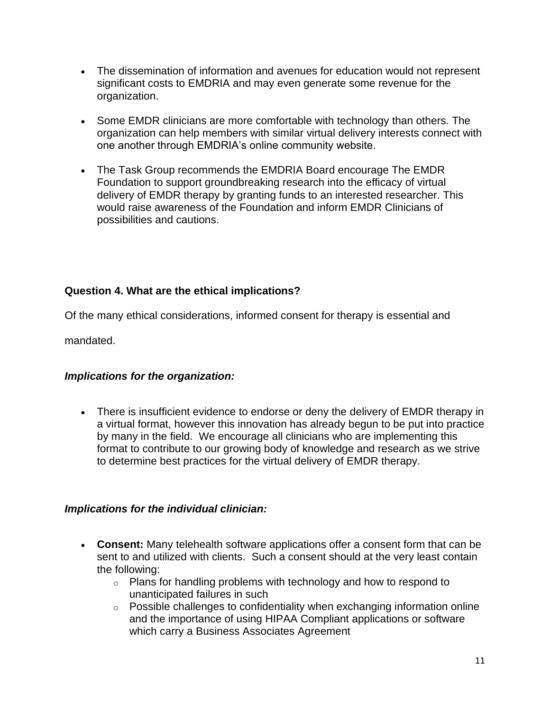- The dissemination of information and avenues for education would not represent significant costs to EMDRIA and may even generate some revenue for the organization.
- Some EMDR clinicians are more comfortable with technology than others. The organization can help members with similar virtual delivery interests connect with one another through EMDRIA's online community website.
- The Task Group recommends the EMDRIA Board encourage The EMDR Foundation to support groundbreaking research into the efficacy of virtual delivery of EMDR therapy by granting funds to an interested researcher. This would raise awareness of the Foundation and inform EMDR Clinicians of possibilities and cautions.

# **Question 4. What are the ethical implications?**

Of the many ethical considerations, informed consent for therapy is essential and

mandated.

# *Implications for the organization:*

• There is insufficient evidence to endorse or deny the delivery of EMDR therapy in a virtual format, however this innovation has already begun to be put into practice by many in the field. We encourage all clinicians who are implementing this format to contribute to our growing body of knowledge and research as we strive to determine best practices for the virtual delivery of EMDR therapy.

#### *Implications for the individual clinician:*

- **Consent:** Many telehealth software applications offer a consent form that can be sent to and utilized with clients. Such a consent should at the very least contain the following:
	- $\circ$  Plans for handling problems with technology and how to respond to unanticipated failures in such
	- o Possible challenges to confidentiality when exchanging information online and the importance of using HIPAA Compliant applications or software which carry a Business Associates Agreement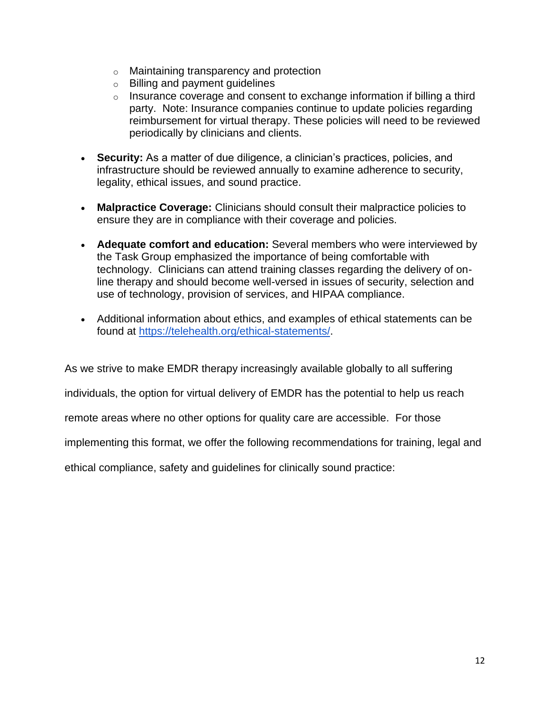- o Maintaining transparency and protection
- o Billing and payment guidelines
- $\circ$  Insurance coverage and consent to exchange information if billing a third party. Note: Insurance companies continue to update policies regarding reimbursement for virtual therapy. These policies will need to be reviewed periodically by clinicians and clients.
- **Security:** As a matter of due diligence, a clinician's practices, policies, and infrastructure should be reviewed annually to examine adherence to security, legality, ethical issues, and sound practice.
- **Malpractice Coverage:** Clinicians should consult their malpractice policies to ensure they are in compliance with their coverage and policies.
- **Adequate comfort and education:** Several members who were interviewed by the Task Group emphasized the importance of being comfortable with technology. Clinicians can attend training classes regarding the delivery of online therapy and should become well-versed in issues of security, selection and use of technology, provision of services, and HIPAA compliance.
- Additional information about ethics, and examples of ethical statements can be found at [https://telehealth.org/ethical-statements/.](https://telehealth.org/ethical-statements/)

As we strive to make EMDR therapy increasingly available globally to all suffering

individuals, the option for virtual delivery of EMDR has the potential to help us reach

remote areas where no other options for quality care are accessible. For those

implementing this format, we offer the following recommendations for training, legal and

ethical compliance, safety and guidelines for clinically sound practice: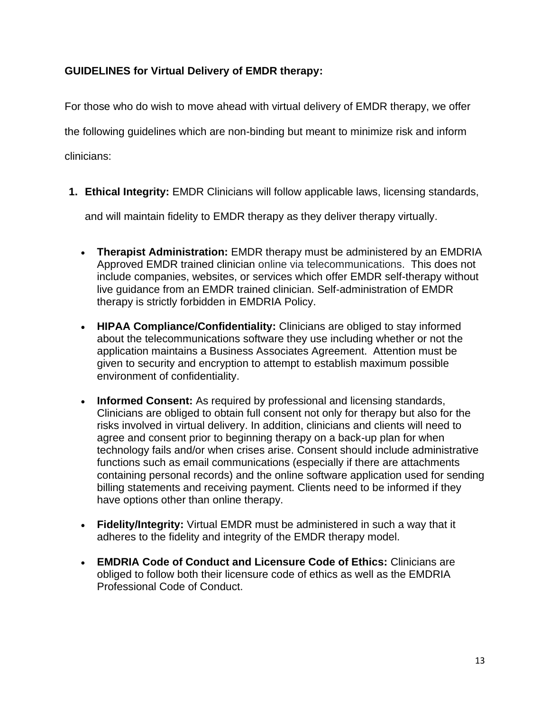# **GUIDELINES for Virtual Delivery of EMDR therapy:**

For those who do wish to move ahead with virtual delivery of EMDR therapy, we offer the following guidelines which are non-binding but meant to minimize risk and inform clinicians:

**1. Ethical Integrity:** EMDR Clinicians will follow applicable laws, licensing standards,

and will maintain fidelity to EMDR therapy as they deliver therapy virtually.

- **Therapist Administration:** EMDR therapy must be administered by an EMDRIA Approved EMDR trained clinician online via telecommunications. This does not include companies, websites, or services which offer EMDR self-therapy without live guidance from an EMDR trained clinician. Self-administration of EMDR therapy is strictly forbidden in EMDRIA Policy.
- **HIPAA Compliance/Confidentiality:** Clinicians are obliged to stay informed about the telecommunications software they use including whether or not the application maintains a Business Associates Agreement. Attention must be given to security and encryption to attempt to establish maximum possible environment of confidentiality.
- **Informed Consent:** As required by professional and licensing standards, Clinicians are obliged to obtain full consent not only for therapy but also for the risks involved in virtual delivery. In addition, clinicians and clients will need to agree and consent prior to beginning therapy on a back-up plan for when technology fails and/or when crises arise. Consent should include administrative functions such as email communications (especially if there are attachments containing personal records) and the online software application used for sending billing statements and receiving payment. Clients need to be informed if they have options other than online therapy.
- **Fidelity/Integrity:** Virtual EMDR must be administered in such a way that it adheres to the fidelity and integrity of the EMDR therapy model.
- **EMDRIA Code of Conduct and Licensure Code of Ethics:** Clinicians are obliged to follow both their licensure code of ethics as well as the EMDRIA Professional Code of Conduct.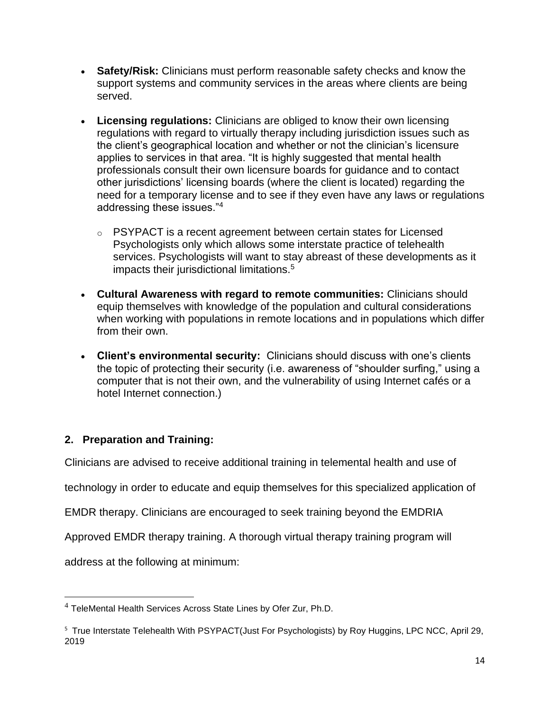- **Safety/Risk:** Clinicians must perform reasonable safety checks and know the support systems and community services in the areas where clients are being served.
- **Licensing regulations:** Clinicians are obliged to know their own licensing regulations with regard to virtually therapy including jurisdiction issues such as the client's geographical location and whether or not the clinician's licensure applies to services in that area. "It is highly suggested that mental health professionals consult their own licensure boards for guidance and to contact other jurisdictions' licensing boards (where the client is located) regarding the need for a temporary license and to see if they even have any laws or regulations addressing these issues."<sup>4</sup>
	- o PSYPACT is a recent agreement between certain states for Licensed Psychologists only which allows some interstate practice of telehealth services. Psychologists will want to stay abreast of these developments as it impacts their jurisdictional limitations.<sup>5</sup>
- **Cultural Awareness with regard to remote communities:** Clinicians should equip themselves with knowledge of the population and cultural considerations when working with populations in remote locations and in populations which differ from their own.
- **Client's environmental security:** Clinicians should discuss with one's clients the topic of protecting their security (i.e. awareness of "shoulder surfing," using a computer that is not their own, and the vulnerability of using Internet cafés or a hotel Internet connection.)

# **2. Preparation and Training:**

Clinicians are advised to receive additional training in telemental health and use of

technology in order to educate and equip themselves for this specialized application of

EMDR therapy. Clinicians are encouraged to seek training beyond the EMDRIA

Approved EMDR therapy training. A thorough virtual therapy training program will

address at the following at minimum:

 $4$  TeleMental Health Services Across State Lines by Ofer Zur, Ph.D.

<sup>5</sup> True Interstate Telehealth With PSYPACT(Just For Psychologists) by Roy Huggins, LPC NCC, April 29, 2019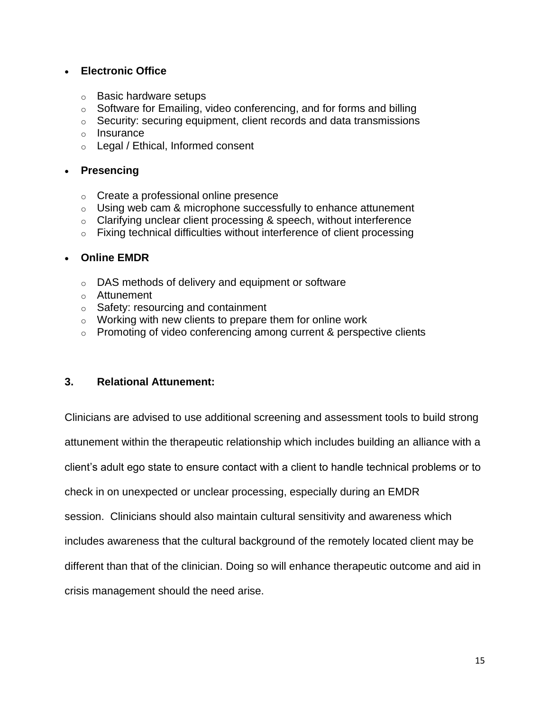#### • **Electronic Office**

- o Basic hardware setups
- $\circ$  Software for Emailing, video conferencing, and for forms and billing
- o Security: securing equipment, client records and data transmissions
- o Insurance
- o Legal / Ethical, Informed consent

#### • **Presencing**

- o Create a professional online presence
- $\circ$  Using web cam & microphone successfully to enhance attunement
- $\circ$  Clarifying unclear client processing & speech, without interference
- o Fixing technical difficulties without interference of client processing

#### • **Online EMDR**

- o DAS methods of delivery and equipment or software
- o Attunement
- o Safety: resourcing and containment
- o Working with new clients to prepare them for online work
- $\circ$  Promoting of video conferencing among current & perspective clients

#### **3. Relational Attunement:**

Clinicians are advised to use additional screening and assessment tools to build strong attunement within the therapeutic relationship which includes building an alliance with a client's adult ego state to ensure contact with a client to handle technical problems or to check in on unexpected or unclear processing, especially during an EMDR session. Clinicians should also maintain cultural sensitivity and awareness which includes awareness that the cultural background of the remotely located client may be different than that of the clinician. Doing so will enhance therapeutic outcome and aid in crisis management should the need arise.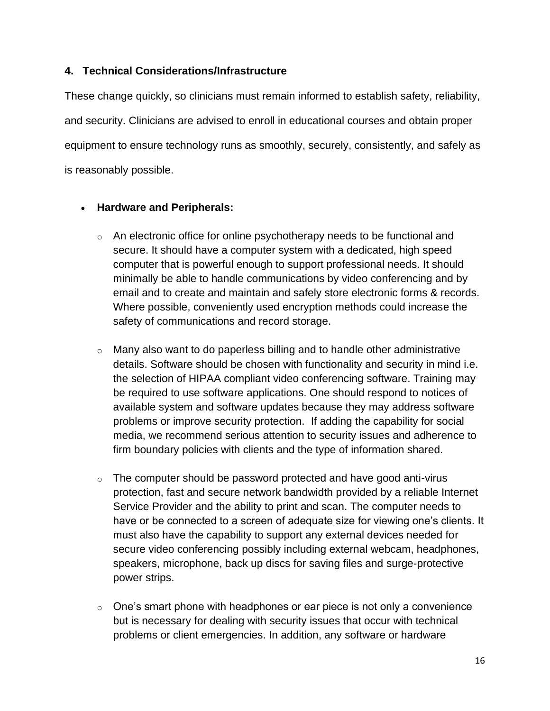#### **4. Technical Considerations/Infrastructure**

These change quickly, so clinicians must remain informed to establish safety, reliability, and security. Clinicians are advised to enroll in educational courses and obtain proper equipment to ensure technology runs as smoothly, securely, consistently, and safely as is reasonably possible.

#### • **Hardware and Peripherals:**

- $\circ$  An electronic office for online psychotherapy needs to be functional and secure. It should have a computer system with a dedicated, high speed computer that is powerful enough to support professional needs. It should minimally be able to handle communications by video conferencing and by email and to create and maintain and safely store electronic forms & records. Where possible, conveniently used encryption methods could increase the safety of communications and record storage.
- o Many also want to do paperless billing and to handle other administrative details. Software should be chosen with functionality and security in mind i.e. the selection of HIPAA compliant video conferencing software. Training may be required to use software applications. One should respond to notices of available system and software updates because they may address software problems or improve security protection. If adding the capability for social media, we recommend serious attention to security issues and adherence to firm boundary policies with clients and the type of information shared.
- $\circ$  The computer should be password protected and have good anti-virus protection, fast and secure network bandwidth provided by a reliable Internet Service Provider and the ability to print and scan. The computer needs to have or be connected to a screen of adequate size for viewing one's clients. It must also have the capability to support any external devices needed for secure video conferencing possibly including external webcam, headphones, speakers, microphone, back up discs for saving files and surge-protective power strips.
- $\circ$  One's smart phone with headphones or ear piece is not only a convenience but is necessary for dealing with security issues that occur with technical problems or client emergencies. In addition, any software or hardware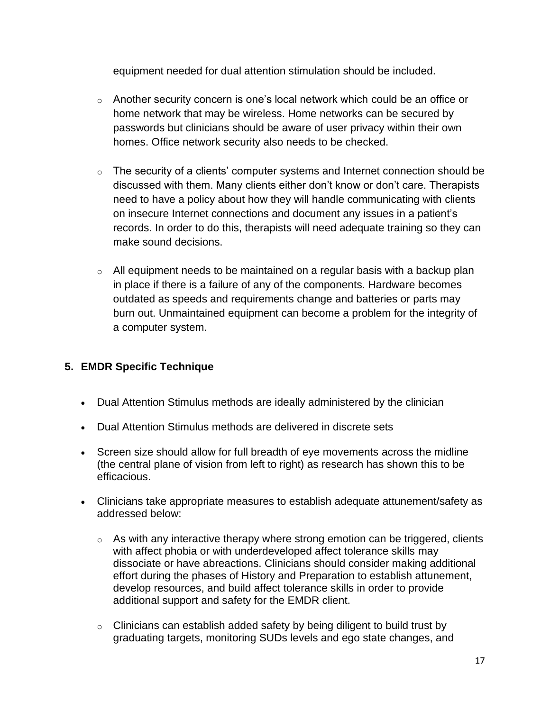equipment needed for dual attention stimulation should be included.

- $\circ$  Another security concern is one's local network which could be an office or home network that may be wireless. Home networks can be secured by passwords but clinicians should be aware of user privacy within their own homes. Office network security also needs to be checked.
- $\circ$  The security of a clients' computer systems and Internet connection should be discussed with them. Many clients either don't know or don't care. Therapists need to have a policy about how they will handle communicating with clients on insecure Internet connections and document any issues in a patient's records. In order to do this, therapists will need adequate training so they can make sound decisions.
- $\circ$  All equipment needs to be maintained on a regular basis with a backup plan in place if there is a failure of any of the components. Hardware becomes outdated as speeds and requirements change and batteries or parts may burn out. Unmaintained equipment can become a problem for the integrity of a computer system.

# **5. EMDR Specific Technique**

- Dual Attention Stimulus methods are ideally administered by the clinician
- Dual Attention Stimulus methods are delivered in discrete sets
- Screen size should allow for full breadth of eye movements across the midline (the central plane of vision from left to right) as research has shown this to be efficacious.
- Clinicians take appropriate measures to establish adequate attunement/safety as addressed below:
	- o As with any interactive therapy where strong emotion can be triggered, clients with affect phobia or with underdeveloped affect tolerance skills may dissociate or have abreactions. Clinicians should consider making additional effort during the phases of History and Preparation to establish attunement, develop resources, and build affect tolerance skills in order to provide additional support and safety for the EMDR client.
	- $\circ$  Clinicians can establish added safety by being diligent to build trust by graduating targets, monitoring SUDs levels and ego state changes, and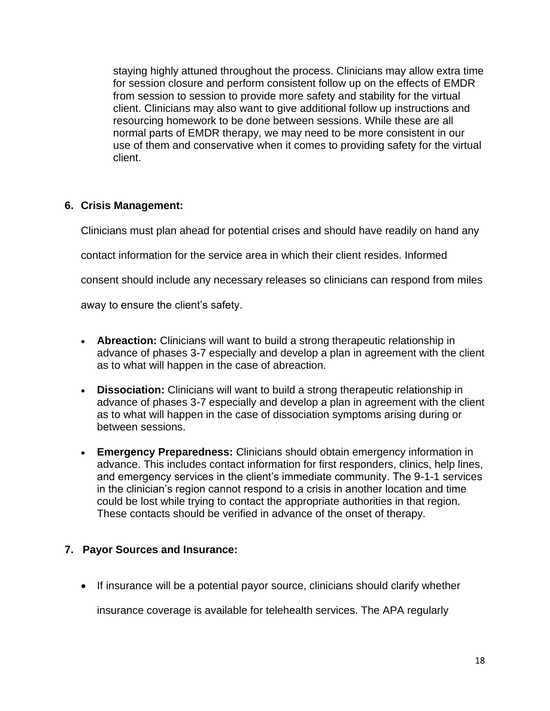staying highly attuned throughout the process. Clinicians may allow extra time for session closure and perform consistent follow up on the effects of EMDR from session to session to provide more safety and stability for the virtual client. Clinicians may also want to give additional follow up instructions and resourcing homework to be done between sessions. While these are all normal parts of EMDR therapy, we may need to be more consistent in our use of them and conservative when it comes to providing safety for the virtual client.

# **6. Crisis Management:**

Clinicians must plan ahead for potential crises and should have readily on hand any

contact information for the service area in which their client resides. Informed

consent should include any necessary releases so clinicians can respond from miles

away to ensure the client's safety.

- **Abreaction:** Clinicians will want to build a strong therapeutic relationship in advance of phases 3-7 especially and develop a plan in agreement with the client as to what will happen in the case of abreaction.
- **Dissociation:** Clinicians will want to build a strong therapeutic relationship in advance of phases 3-7 especially and develop a plan in agreement with the client as to what will happen in the case of dissociation symptoms arising during or between sessions.
- **Emergency Preparedness:** Clinicians should obtain emergency information in advance. This includes contact information for first responders, clinics, help lines, and emergency services in the client's immediate community. The 9-1-1 services in the clinician's region cannot respond to a crisis in another location and time could be lost while trying to contact the appropriate authorities in that region. These contacts should be verified in advance of the onset of therapy.

# **7. Payor Sources and Insurance:**

• If insurance will be a potential payor source, clinicians should clarify whether

insurance coverage is available for telehealth services. The APA regularly